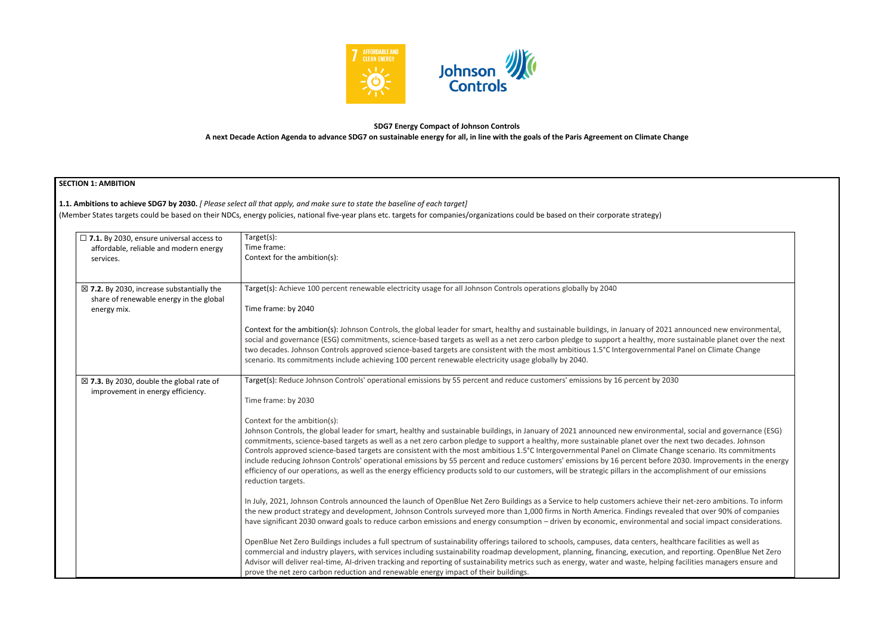

## **SDG7 Energy Compact of Johnson Controls A next Decade Action Agenda to advance SDG7 on sustainable energy for all, in line with the goals of the Paris Agreement on Climate Change**

# **SECTION 1: AMBITION**

| $\Box$ 7.1. By 2030, ensure universal access to<br>affordable, reliable and modern energy<br>services.         | Target(s):<br>Time frame:<br>Context for the ambition(s):                                                                                                                                                                                                                                                                                                                                                                                                                                                                                                                                                                                                                                                                                                                                                                                                                     |
|----------------------------------------------------------------------------------------------------------------|-------------------------------------------------------------------------------------------------------------------------------------------------------------------------------------------------------------------------------------------------------------------------------------------------------------------------------------------------------------------------------------------------------------------------------------------------------------------------------------------------------------------------------------------------------------------------------------------------------------------------------------------------------------------------------------------------------------------------------------------------------------------------------------------------------------------------------------------------------------------------------|
| $\boxtimes$ 7.2. By 2030, increase substantially the<br>share of renewable energy in the global<br>energy mix. | Target(s): Achieve 100 percent renewable electricity usage for all Johnson Controls operations globally by 2040<br>Time frame: by 2040                                                                                                                                                                                                                                                                                                                                                                                                                                                                                                                                                                                                                                                                                                                                        |
|                                                                                                                | Context for the ambition(s): Johnson Controls, the global leader for smart, healthy and sustainable buildings, in January of 2021 announced new environmental,<br>social and governance (ESG) commitments, science-based targets as well as a net zero carbon pledge to support a healthy, more sustainable planet over the next<br>two decades. Johnson Controls approved science-based targets are consistent with the most ambitious 1.5°C Intergovernmental Panel on Climate Change<br>scenario. Its commitments include achieving 100 percent renewable electricity usage globally by 2040.                                                                                                                                                                                                                                                                              |
| $\boxtimes$ 7.3. By 2030, double the global rate of<br>improvement in energy efficiency.                       | Target(s): Reduce Johnson Controls' operational emissions by 55 percent and reduce customers' emissions by 16 percent by 2030<br>Time frame: by 2030                                                                                                                                                                                                                                                                                                                                                                                                                                                                                                                                                                                                                                                                                                                          |
|                                                                                                                | Context for the ambition(s):<br>Johnson Controls, the global leader for smart, healthy and sustainable buildings, in January of 2021 announced new environmental, social and governance (ESG)<br>commitments, science-based targets as well as a net zero carbon pledge to support a healthy, more sustainable planet over the next two decades. Johnson<br>Controls approved science-based targets are consistent with the most ambitious 1.5°C Intergovernmental Panel on Climate Change scenario. Its commitments<br>include reducing Johnson Controls' operational emissions by 55 percent and reduce customers' emissions by 16 percent before 2030. Improvements in the energy<br>efficiency of our operations, as well as the energy efficiency products sold to our customers, will be strategic pillars in the accomplishment of our emissions<br>reduction targets. |
|                                                                                                                | In July, 2021, Johnson Controls announced the launch of OpenBlue Net Zero Buildings as a Service to help customers achieve their net-zero ambitions. To inform<br>the new product strategy and development, Johnson Controls surveyed more than 1,000 firms in North America. Findings revealed that over 90% of companies<br>have significant 2030 onward goals to reduce carbon emissions and energy consumption - driven by economic, environmental and social impact considerations.                                                                                                                                                                                                                                                                                                                                                                                      |
|                                                                                                                | OpenBlue Net Zero Buildings includes a full spectrum of sustainability offerings tailored to schools, campuses, data centers, healthcare facilities as well as<br>commercial and industry players, with services including sustainability roadmap development, planning, financing, execution, and reporting. OpenBlue Net Zero<br>Advisor will deliver real-time, Al-driven tracking and reporting of sustainability metrics such as energy, water and waste, helping facilities managers ensure and<br>prove the net zero carbon reduction and renewable energy impact of their buildings.                                                                                                                                                                                                                                                                                  |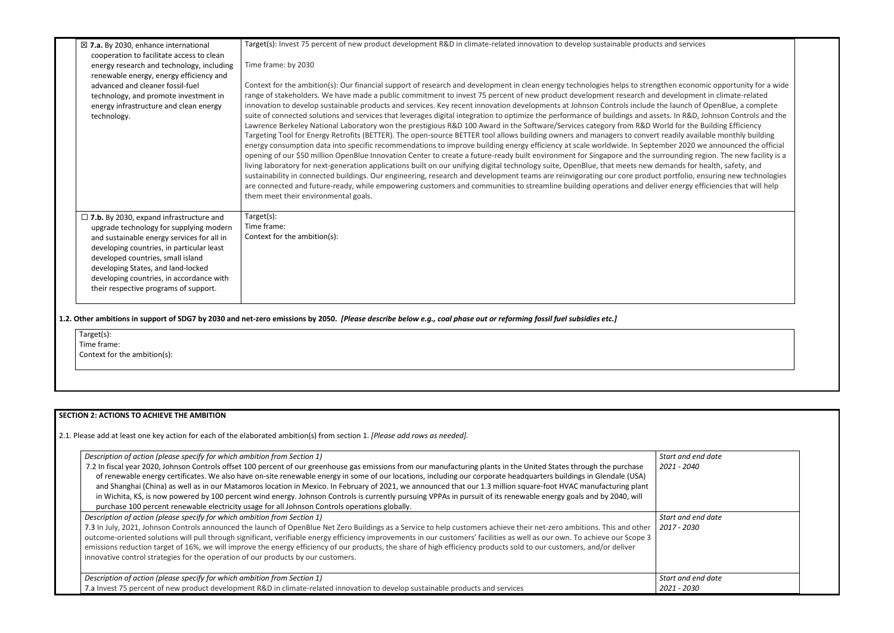| $\boxtimes$ 7.a. By 2030, enhance international                                        | Target(s): Invest 75 percent of new product development R&D in climate-related innovation to develop sustainable products and services                                                                                                                                                                              |                                   |
|----------------------------------------------------------------------------------------|---------------------------------------------------------------------------------------------------------------------------------------------------------------------------------------------------------------------------------------------------------------------------------------------------------------------|-----------------------------------|
| cooperation to facilitate access to clean<br>energy research and technology, including | Time frame: by 2030                                                                                                                                                                                                                                                                                                 |                                   |
| renewable energy, energy efficiency and                                                |                                                                                                                                                                                                                                                                                                                     |                                   |
| advanced and cleaner fossil-fuel                                                       | Context for the ambition(s): Our financial support of research and development in clean energy technologies helps to strengthen economic opportunity for a wide                                                                                                                                                     |                                   |
| technology, and promote investment in                                                  | range of stakeholders. We have made a public commitment to invest 75 percent of new product development research and development in climate-related                                                                                                                                                                 |                                   |
| energy infrastructure and clean energy                                                 | innovation to develop sustainable products and services. Key recent innovation developments at Johnson Controls include the launch of OpenBlue, a complete                                                                                                                                                          |                                   |
| technology.                                                                            | suite of connected solutions and services that leverages digital integration to optimize the performance of buildings and assets. In R&D, Johnson Controls and the                                                                                                                                                  |                                   |
|                                                                                        | Lawrence Berkeley National Laboratory won the prestigious R&D 100 Award in the Software/Services category from R&D World for the Building Efficiency<br>Targeting Tool for Energy Retrofits (BETTER). The open-source BETTER tool allows building owners and managers to convert readily available monthly building |                                   |
|                                                                                        | energy consumption data into specific recommendations to improve building energy efficiency at scale worldwide. In September 2020 we announced the official                                                                                                                                                         |                                   |
|                                                                                        | opening of our \$50 million OpenBlue Innovation Center to create a future-ready built environment for Singapore and the surrounding region. The new facility is a                                                                                                                                                   |                                   |
|                                                                                        | living laboratory for next-generation applications built on our unifying digital technology suite, OpenBlue, that meets new demands for health, safety, and                                                                                                                                                         |                                   |
|                                                                                        | sustainability in connected buildings. Our engineering, research and development teams are reinvigorating our core product portfolio, ensuring new technologies                                                                                                                                                     |                                   |
|                                                                                        | are connected and future-ready, while empowering customers and communities to streamline building operations and deliver energy efficiencies that will help                                                                                                                                                         |                                   |
|                                                                                        | them meet their environmental goals.                                                                                                                                                                                                                                                                                |                                   |
| $\Box$ 7.b. By 2030, expand infrastructure and                                         | Target(s):                                                                                                                                                                                                                                                                                                          |                                   |
| upgrade technology for supplying modern                                                | Time frame:                                                                                                                                                                                                                                                                                                         |                                   |
| and sustainable energy services for all in                                             | Context for the ambition(s):                                                                                                                                                                                                                                                                                        |                                   |
| developing countries, in particular least                                              |                                                                                                                                                                                                                                                                                                                     |                                   |
| developed countries, small island                                                      |                                                                                                                                                                                                                                                                                                                     |                                   |
| developing States, and land-locked<br>developing countries, in accordance with         |                                                                                                                                                                                                                                                                                                                     |                                   |
| their respective programs of support.                                                  |                                                                                                                                                                                                                                                                                                                     |                                   |
|                                                                                        |                                                                                                                                                                                                                                                                                                                     |                                   |
|                                                                                        | 1.2. Other ambitions in support of SDG7 by 2030 and net-zero emissions by 2050. <i>[Please describe below e.g., coal phase out or reforming fossil fuel subsidies etc.]</i>                                                                                                                                         |                                   |
| Target(s):                                                                             |                                                                                                                                                                                                                                                                                                                     |                                   |
| Time frame:                                                                            |                                                                                                                                                                                                                                                                                                                     |                                   |
| Context for the ambition(s):                                                           |                                                                                                                                                                                                                                                                                                                     |                                   |
|                                                                                        |                                                                                                                                                                                                                                                                                                                     |                                   |
|                                                                                        |                                                                                                                                                                                                                                                                                                                     |                                   |
|                                                                                        |                                                                                                                                                                                                                                                                                                                     |                                   |
|                                                                                        |                                                                                                                                                                                                                                                                                                                     |                                   |
| <b>SECTION 2: ACTIONS TO ACHIEVE THE AMBITION</b>                                      |                                                                                                                                                                                                                                                                                                                     |                                   |
|                                                                                        | 2.1. Please add at least one key action for each of the elaborated ambition(s) from section 1. [Please add rows as needed].                                                                                                                                                                                         |                                   |
|                                                                                        |                                                                                                                                                                                                                                                                                                                     |                                   |
| Description of action (please specify for which ambition from Section 1)               |                                                                                                                                                                                                                                                                                                                     | Start and end date                |
|                                                                                        | 7.2 In fiscal year 2020, Johnson Controls offset 100 percent of our greenhouse gas emissions from our manufacturing plants in the United States through the purchase                                                                                                                                                | 2021 - 2040                       |
|                                                                                        | of renewable energy certificates. We also have on-site renewable energy in some of our locations, including our corporate headquarters buildings in Glendale (USA)                                                                                                                                                  |                                   |
|                                                                                        | and Shanghai (China) as well as in our Matamoros location in Mexico. In February of 2021, we announced that our 1.3 million square-foot HVAC manufacturing plant                                                                                                                                                    |                                   |
|                                                                                        | in Wichita, KS, is now powered by 100 percent wind energy. Johnson Controls is currently pursuing VPPAs in pursuit of its renewable energy goals and by 2040, will<br>purchase 100 percent renewable electricity usage for all Johnson Controls operations globally.                                                |                                   |
| Description of action (please specify for which ambition from Section 1)               |                                                                                                                                                                                                                                                                                                                     | Start and end date                |
|                                                                                        | 7.3 In July, 2021, Johnson Controls announced the launch of OpenBlue Net Zero Buildings as a Service to help customers achieve their net-zero ambitions. This and other                                                                                                                                             | 2017 - 2030                       |
|                                                                                        | outcome-oriented solutions will pull through significant, verifiable energy efficiency improvements in our customers' facilities as well as our own. To achieve our Scope 3                                                                                                                                         |                                   |
|                                                                                        |                                                                                                                                                                                                                                                                                                                     |                                   |
|                                                                                        | emissions reduction target of 16%, we will improve the energy efficiency of our products, the share of high efficiency products sold to our customers, and/or deliver                                                                                                                                               |                                   |
| innovative control strategies for the operation of our products by our customers.      |                                                                                                                                                                                                                                                                                                                     |                                   |
|                                                                                        |                                                                                                                                                                                                                                                                                                                     |                                   |
| Description of action (please specify for which ambition from Section 1)               | 7.a Invest 75 percent of new product development R&D in climate-related innovation to develop sustainable products and services                                                                                                                                                                                     | Start and end date<br>2021 - 2030 |

### **SECTION 2: ACTIONS TO ACHIEVE THE AMBITION**

| Description of action (please specify for which ambition from Section 1)                                                                                                                                                                                                                                                                                                                                                                                                                                                                                                                                                                                                                                                                                                               | <b>Start</b> |
|----------------------------------------------------------------------------------------------------------------------------------------------------------------------------------------------------------------------------------------------------------------------------------------------------------------------------------------------------------------------------------------------------------------------------------------------------------------------------------------------------------------------------------------------------------------------------------------------------------------------------------------------------------------------------------------------------------------------------------------------------------------------------------------|--------------|
| 7.2 In fiscal year 2020, Johnson Controls offset 100 percent of our greenhouse gas emissions from our manufacturing plants in the United States through the purchase<br>of renewable energy certificates. We also have on-site renewable energy in some of our locations, including our corporate headquarters buildings in Glendale (USA)<br>and Shanghai (China) as well as in our Matamoros location in Mexico. In February of 2021, we announced that our 1.3 million square-foot HVAC manufacturing plant<br>in Wichita, KS, is now powered by 100 percent wind energy. Johnson Controls is currently pursuing VPPAs in pursuit of its renewable energy goals and by 2040, will<br>purchase 100 percent renewable electricity usage for all Johnson Controls operations globally. | 2021         |
| Description of action (please specify for which ambition from Section 1)                                                                                                                                                                                                                                                                                                                                                                                                                                                                                                                                                                                                                                                                                                               | <b>Start</b> |
| 7.3 In July, 2021, Johnson Controls announced the launch of OpenBlue Net Zero Buildings as a Service to help customers achieve their net-zero ambitions. This and other<br>outcome-oriented solutions will pull through significant, verifiable energy efficiency improvements in our customers' facilities as well as our own. To achieve our Scope 3<br>emissions reduction target of 16%, we will improve the energy efficiency of our products, the share of high efficiency products sold to our customers, and/or deliver<br>innovative control strategies for the operation of our products by our customers.                                                                                                                                                                   | 2017         |
| Description of action (please specify for which ambition from Section 1)                                                                                                                                                                                                                                                                                                                                                                                                                                                                                                                                                                                                                                                                                                               | <b>Start</b> |
| 7.a Invest 75 percent of new product development R&D in climate-related innovation to develop sustainable products and services                                                                                                                                                                                                                                                                                                                                                                                                                                                                                                                                                                                                                                                        | 2021         |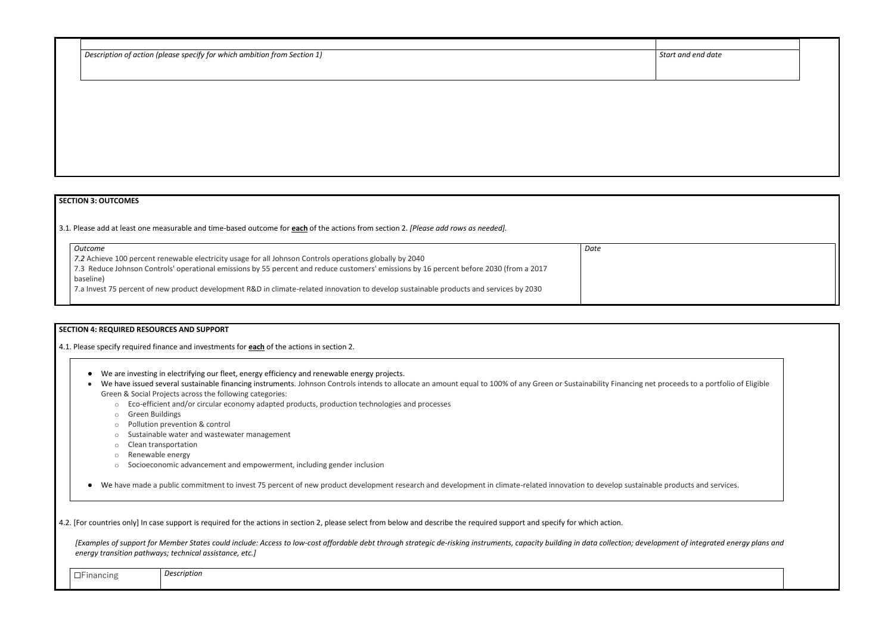| Description of action (please specify for which ambition from Section 1) |  | Start and end date |
|--------------------------------------------------------------------------|--|--------------------|
|--------------------------------------------------------------------------|--|--------------------|

|  |  | <b>SECTION 3: OUTCOMES</b> |  |
|--|--|----------------------------|--|
|  |  |                            |  |

3.1*.* Please add at least one measurable and time-based outcome for **each** of the actions from section 2. *[Please add rows as needed].*

| Outcome                                                                                                                                 | Date |
|-----------------------------------------------------------------------------------------------------------------------------------------|------|
| 7.2 Achieve 100 percent renewable electricity usage for all Johnson Controls operations globally by 2040                                |      |
| 7.3 Reduce Johnson Controls' operational emissions by 55 percent and reduce customers' emissions by 16 percent before 2030 (from a 2017 |      |
| baseline)                                                                                                                               |      |
| 7.a Invest 75 percent of new product development R&D in climate-related innovation to develop sustainable products and services by 2030 |      |
|                                                                                                                                         |      |

#### **SECTION 4: REQUIRED RESOURCES AND SUPPORT**

4.1. Please specify required finance and investments for **each** of the actions in section 2.

[Examples of support for Member States could include: Access to low-cost affordable debt through strategic de-risking instruments, capacity building in data collection; developmen *energy transition pathways; technical assistance, etc.]*

- We are investing in electrifying our fleet, energy efficiency and renewable energy projects.
- We have issued several sustainable financing instruments. Johnson Controls intends to allocate an amount equal to 100% of any Green or Sustainability Financing net proce Green & Social Projects across the following categories:
	- o Eco-efficient and/or circular economy adapted products, production technologies and processes
	- o Green Buildings
	- o Pollution prevention & control
	- o Sustainable water and wastewater management
	- o Clean transportation
	- o Renewable energy
	- o Socioeconomic advancement and empowerment, including gender inclusion

● We have made a public commitment to invest 75 percent of new product development research and development in climate-related innovation to develop sustainable pro

4.2. [For countries only] In case support is required for the actions in section 2, please select from below and describe the required support and specify for which action.

| $\overline{\phantom{0}}$<br>-inancing<br>_<br>ັ | Description |  |  |
|-------------------------------------------------|-------------|--|--|
|                                                 |             |  |  |

| and end date                      |  |
|-----------------------------------|--|
|                                   |  |
|                                   |  |
|                                   |  |
|                                   |  |
|                                   |  |
|                                   |  |
|                                   |  |
| eeds to a portfolio of Eligible   |  |
|                                   |  |
|                                   |  |
| ducts and services.               |  |
| it of integrated energy plans and |  |
|                                   |  |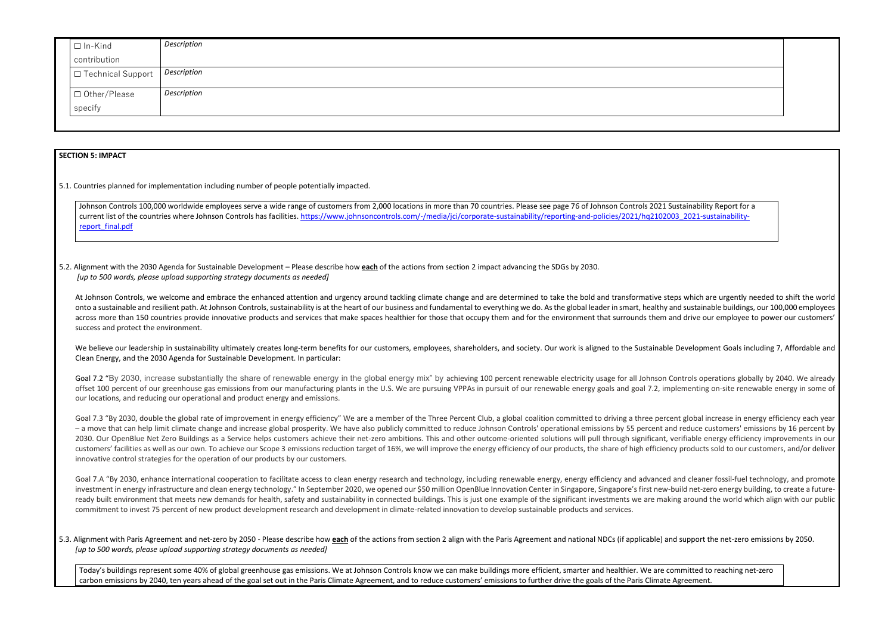| $\Box$ In-Kind      | Description |
|---------------------|-------------|
| contribution        |             |
| □ Technical Support | Description |
| □ Other/Please      | Description |
| specify             |             |
|                     |             |
|                     |             |

#### **SECTION 5: IMPACT**

5.1. Countries planned for implementation including number of people potentially impacted.

Johnson Controls 100,000 worldwide employees serve a wide range of customers from 2,000 locations in more than 70 countries. Please see page 76 of Johnson Controls 2021 Sustainability Report for a current list of the countries where Johnson Controls has facilities. [https://www.johnsoncontrols.com/-/media/jci/corporate-sustainability/reporting-and-policies/2021/hq2102003\\_2021-sustainability](https://www.johnsoncontrols.com/-/media/jci/corporate-sustainability/reporting-and-policies/2021/hq2102003_2021-sustainability-report_final.pdf)[report\\_final.pdf](https://www.johnsoncontrols.com/-/media/jci/corporate-sustainability/reporting-and-policies/2021/hq2102003_2021-sustainability-report_final.pdf)

5.2. Alignment with the 2030 Agenda for Sustainable Development – Please describe how **each** of the actions from section 2 impact advancing the SDGs by 2030. *[up to 500 words, please upload supporting strategy documents as needed]* 

At Johnson Controls, we welcome and embrace the enhanced attention and urgency around tackling climate change and are determined to take the bold and transformative steps which are urgently needed to shift the world onto a sustainable and resilient path. At Johnson Controls, sustainability is at the heart of our business and fundamental to everything we do. As the global leader in smart, healthy and sustainable buildings, our 100,000 across more than 150 countries provide innovative products and services that make spaces healthier for those that occupy them and for the environment that surrounds them and drive our employee to power our customers' success and protect the environment.

We believe our leadership in sustainability ultimately creates long-term benefits for our customers, employees, shareholders, and society. Our work is aligned to the Sustainable Development Goals including 7, Affordable an Clean Energy, and the 2030 Agenda for Sustainable Development. In particular:

Goal 7.2 "By 2030, increase substantially the share of renewable energy in the global energy mix" by achieving 100 percent renewable electricity usage for all Johnson Controls operations globally by 2040. We already offset 100 percent of our greenhouse gas emissions from our manufacturing plants in the U.S. We are pursuing VPPAs in pursuit of our renewable energy goals and goal 7.2, implementing on-site renewable energy in some of our locations, and reducing our operational and product energy and emissions.

Goal 7.3 "By 2030, double the global rate of improvement in energy efficiency" We are a member of the Three Percent Club, a global coalition committed to driving a three percent global increase in energy efficiency each ye – a move that can help limit climate change and increase global prosperity. We have also publicly committed to reduce Johnson Controls' operational emissions by 55 percent and reduce customers' emissions by 16 percent by 2030. Our OpenBlue Net Zero Buildings as a Service helps customers achieve their net-zero ambitions. This and other outcome-oriented solutions will pull through significant, verifiable energy efficiency improvements in our customers' facilities as well as our own. To achieve our Scope 3 emissions reduction target of 16%, we will improve the energy efficiency of our products, the share of high efficiency products sold to our customers, and/or innovative control strategies for the operation of our products by our customers.

Goal 7.A "By 2030, enhance international cooperation to facilitate access to clean energy research and technology, including renewable energy, energy efficiency and advanced and cleaner fossil-fuel technology, and promote investment in energy infrastructure and clean energy technology." In September 2020, we opened our \$50 million OpenBlue Innovation Center in Singapore, Singapore's first new-build net-zero energy building, to create a futu ready built environment that meets new demands for health, safety and sustainability in connected buildings. This is just one example of the significant investments we are making around the world which align with our publi commitment to invest 75 percent of new product development research and development in climate-related innovation to develop sustainable products and services.

5.3. Alignment with Paris Agreement and net-zero by 2050 - Please describe how each of the actions from section 2 align with the Paris Agreement and national NDCs (if applicable) and support the net-zero emissions by 2050. *[up to 500 words, please upload supporting strategy documents as needed]* 

Today's buildings represent some 40% of global greenhouse gas emissions. We at Johnson Controls know we can make buildings more efficient, smarter and healthier. We are committed to reaching net-zero carbon emissions by 2040, ten years ahead of the goal set out in the Paris Climate Agreement, and to reduce customers' emissions to further drive the goals of the Paris Climate Agreement.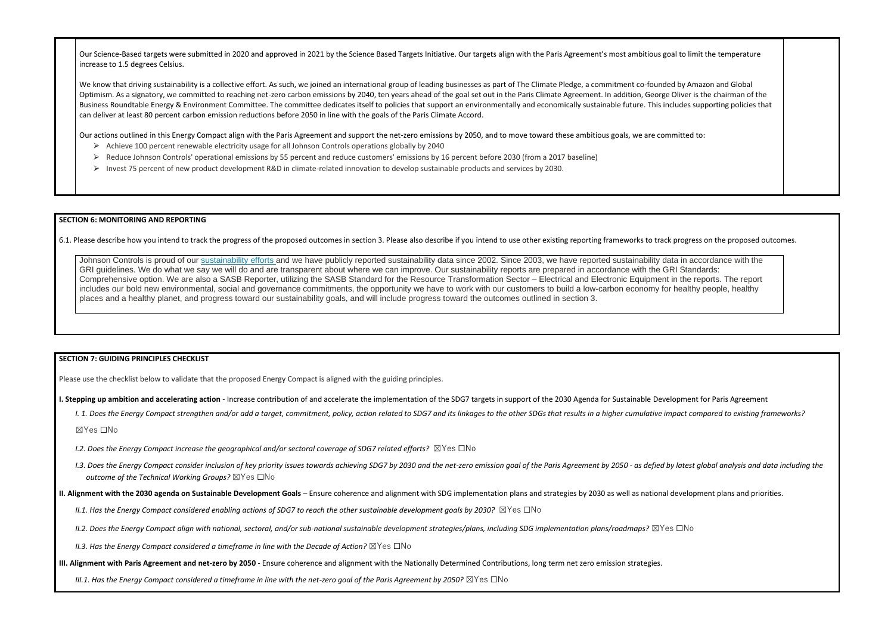Our Science-Based targets were submitted in 2020 and approved in 2021 by the Science Based Targets Initiative. Our targets align with the Paris Agreement's most ambitious goal increase to 1.5 degrees Celsius.

We know that driving sustainability is a collective effort. As such, we joined an international group of leading businesses as part of The Climate Pledge, a commitment co-founded Optimism. As a signatory, we committed to reaching net-zero carbon emissions by 2040, ten years ahead of the goal set out in the Paris Climate Agreement. In addition, George O Business Roundtable Energy & Environment Committee. The committee dedicates itself to policies that support an environmentally and economically sustainable future. This inclu can deliver at least 80 percent carbon emission reductions before 2050 in line with the goals of the Paris Climate Accord.

Our actions outlined in this Energy Compact align with the Paris Agreement and support the net-zero emissions by 2050, and to move toward these ambitious goals, we are comm

- $\triangleright$  Achieve 100 percent renewable electricity usage for all Johnson Controls operations globally by 2040
- ⮚ Reduce Johnson Controls' operational emissions by 55 percent and reduce customers' emissions by 16 percent before 2030 (from a 2017 baseline)
- ⮚ Invest 75 percent of new product development R&D in climate-related innovation to develop sustainable products and services by 2030.

Johnson Controls is proud of our [sustainability efforts](https://www.johnsoncontrols.com/corporate-sustainability/environment) and we have publicly reported sustainability data since 2002. Since 2003, we have reported sustainability data in accordance with the GRI guidelines. We do what we say we will do and are transparent about where we can improve. Our sustainability reports are prepared in accordance with the GRI Standards: Comprehensive option. We are also a SASB Reporter, utilizing the SASB Standard for the Resource Transformation Sector – Electrical and Electronic Equipment in the reports. The report includes our bold new environmental, social and governance commitments, the opportunity we have to work with our customers to build a low-carbon economy for healthy people, healthy places and a healthy planet, and progress toward our sustainability goals, and will include progress toward the outcomes outlined in section 3.

#### **SECTION 6: MONITORING AND REPORTING**

6.1. Please describe how you intend to track the progress of the proposed outcomes in section 3. Please also describe if you intend to use other existing reporting frameworks to track progress on the proposed outcomes.

- *I.2. Does the Energy Compact increase the geographical and/or sectoral coverage of SDG7 related efforts?* ⊠Yes □No
- 1.3. Does the Energy Compact consider inclusion of key priority issues towards achieving SDG7 by 2030 and the net-zero emission goal of the Paris Agreement by 2050 as defied by latest global analysis and data including t *outcome of the Technical Working Groups?* ☒Yes ☐No
- **II. Alignment with the 2030 agenda on Sustainable Development Goals** Ensure coherence and alignment with SDG implementation plans and strategies by 2030 as well as national development plans and priorities.

*II.1. Has the Energy Compact considered enabling actions of SDG7 to reach the other sustainable development goals by 2030?* ⊠Yes □No

#### **SECTION 7: GUIDING PRINCIPLES CHECKLIST**

Please use the checklist below to validate that the proposed Energy Compact is aligned with the guiding principles.

**I. Stepping up ambition and accelerating action** - Increase contribution of and accelerate the implementation of the SDG7 targets in support of the 2030 Agenda for Sustainable Development for Paris Agreement

I. 1. Does the Energy Compact strengthen and/or add a target, commitment, policy, action related to SDG7 and its linkages to the other SDGs that results in a higher cumulative impact compared to existing frameworks?

☒Yes ☐No

*II.2. Does the Energy Compact align with national, sectoral, and/or sub-national sustainable development strategies/plans, including SDG implementation plans/roadmaps?* ☒Yes ☐No

*II.3. Has the Energy Compact considered a timeframe in line with the Decade of Action?* ⊠Yes □No

**III. Alignment with Paris Agreement and net-zero by 2050** - Ensure coherence and alignment with the Nationally Determined Contributions, long term net zero emission strategies.

*III.1. Has the Energy Compact considered a timeframe in line with the net-zero goal of the Paris Agreement by 2050?* ⊠Yes □No

| I to limit the temperature                                                            |  |
|---------------------------------------------------------------------------------------|--|
| by Amazon and Global<br>liver is the chairman of the<br>udes supporting policies that |  |
| itted to:                                                                             |  |
|                                                                                       |  |
|                                                                                       |  |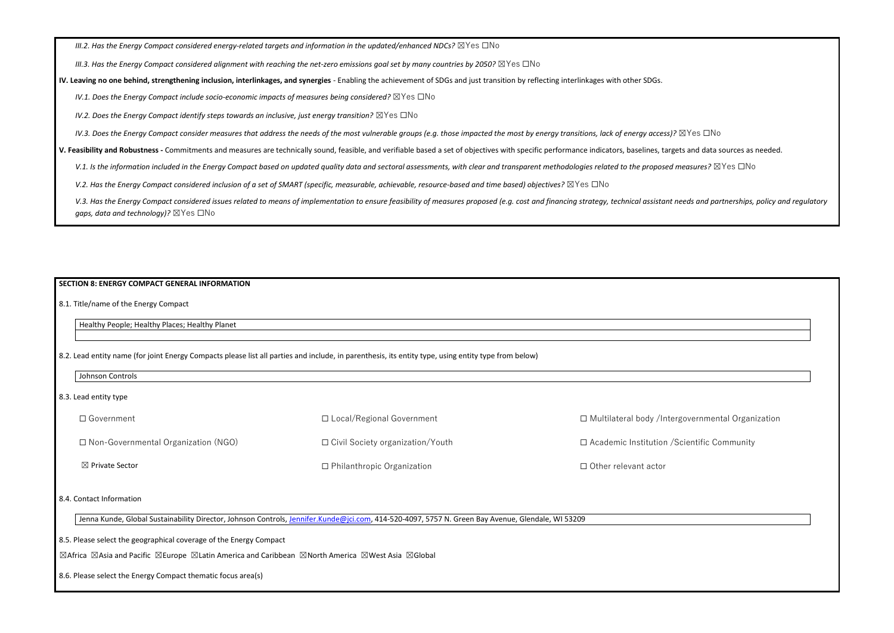*III.2. Has the Energy Compact considered energy-related targets and information in the updated/enhanced NDCs?* ⊠Yes □No

*III.3. Has the Energy Compact considered alignment with reaching the net-zero emissions goal set by many countries by 2050?* ⊠Yes □No

**IV. Leaving no one behind, strengthening inclusion, interlinkages, and synergies** - Enabling the achievement of SDGs and just transition by reflecting interlinkages with other SDGs.

*IV.1. Does the Energy Compact include socio-economic impacts of measures being considered?* ⊠Yes □No

*IV.2. Does the Energy Compact identify steps towards an inclusive, just energy transition?*  $\boxtimes$ Yes  $\Box$ No

*IV.3. Does the Energy Compact consider measures that address the needs of the most vulnerable groups (e.g. those impacted the most by energy transitions, lack of energy access)?* ⊠Yes □No

V.3. Has the Energy Compact considered issues related to means of implementation to ensure feasibility of measures proposed (e.g. cost and financing strategy, technical assistant needs and partnerships, policy and regulato *gaps, data and technology)?* ☒Yes ☐No

**V. Feasibility and Robustness -** Commitments and measures are technically sound, feasible, and verifiable based a set of objectives with specific performance indicators, baselines, targets and data sources as needed.

V.1. Is the information included in the Energy Compact based on updated quality data and sectoral assessments, with clear and transparent methodologies related to the proposed measures? ⊠Yes □No

*V.2. Has the Energy Compact considered inclusion of a set of SMART (specific, measurable, achievable, resource-based and time based) objectives?* ⊠Yes □No

### **SECTION 8: ENERGY COMPACT GENERAL INFORMATION**

8.1. Title/name of the Energy Compact

Healthy People; Healthy Places; Healthy Planet

8.2. Lead entity name (for joint Energy Compacts please list all parties and include, in parenthesis, its entity type, using entity type from below)

Johnson Controls

| Jenna Kunde, Global Sustainability Director, Johnson Controls, [Jennifer.Kunde@jci.com,](mailto:Jennifer.Kunde@jci.com) 414-520-4097, 5757 N. Green Bay Avenue, Glendale, WI 53209

| 8.3. Lead entity type                      |                                         |                                               |
|--------------------------------------------|-----------------------------------------|-----------------------------------------------|
| $\Box$ Government                          | $\Box$ Local/Regional Government        | □ Multilateral body /Intergovernmental Organi |
| $\Box$ Non-Governmental Organization (NGO) | $\Box$ Civil Society organization/Youth | □ Academic Institution / Scientific Community |
| $\boxtimes$ Private Sector                 | $\Box$ Philanthropic Organization       | $\Box$ Other relevant actor                   |

| □ Academic Institution / Scientific Community<br>□ Other relevant actor | □ Multilateral body /Intergovernmental Organization |
|-------------------------------------------------------------------------|-----------------------------------------------------|
|                                                                         |                                                     |
| )9                                                                      |                                                     |
|                                                                         |                                                     |
|                                                                         |                                                     |
|                                                                         |                                                     |
|                                                                         |                                                     |

#### 8.4. Contact Information

8.5. Please select the geographical coverage of the Energy Compact

☒Africa ☒Asia and Pacific ☒Europe ☒Latin America and Caribbean ☒North America ☒West Asia ☒Global

8.6. Please select the Energy Compact thematic focus area(s)